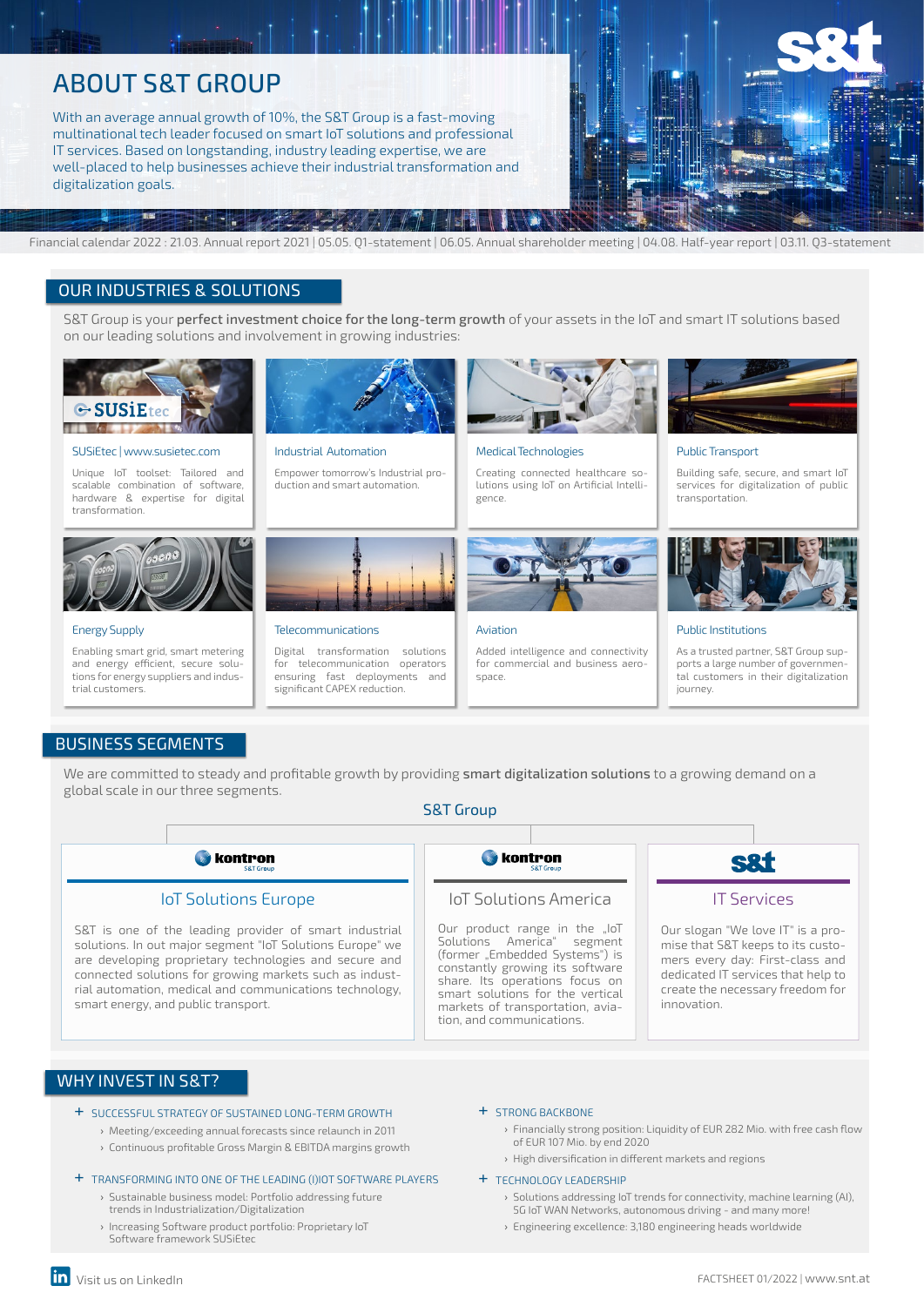# ABOUT S&T GROUP

With an average annual growth of 10%, the S&T Group is a fast-moving multinational tech leader focused on smart IoT solutions and professional IT services. Based on longstanding, industry leading expertise, we are well-placed to help businesses achieve their industrial transformation and digitalization goals.



# Financial calendar 2022 : 21.03. Annual report 2021 | 05.05. Q1-statement | 06.05. Annual shareholder meeting | 04.08. Half-year report | 03.11. Q3-statement

## OUR INDUSTRIES & SOLUTIONS

S&T Group is your perfect investment choice for the long-term growth of your assets in the IoT and smart IT solutions based on our leading solutions and involvement in growing industries:



#### SUSiEtec | www.susietec.com

Unique IoT toolset: Tailored and scalable combination of software, hardware & expertise for digital transformation.



#### Energy Supply

Enabling smart grid, smart metering and energy efficient, secure solutions for energy suppliers and industrial customers.



Industrial Automation

Telecommunications

Empower tomorrow's Industrial production and smart automation.

Digital transformation solutions for telecommunication operators ensuring fast deployments and significant CAPEX reduction.



Creating connected healthcare solutions using IoT on Artificial Intelligence.



#### Aviation

Added intelligence and connectivity for commercial and business aerospace



#### Public Transport

Building safe, secure, and smart IoT services for digitalization of public transportation.



#### Public Institutions

As a trusted partner, S&T Group supports a large number of governmental customers in their digitalization journey.

## BUSINESS SEGMENTS

We are committed to steady and profitable growth by providing smart digitalization solutions to a growing demand on a global scale in our three segments.

### S&T Group



## WHY INVEST IN S&T?

- + SUCCESSFUL STRATEGY OF SUSTAINED LONG-TERM GROWTH
	- › Meeting/exceeding annual forecasts since relaunch in 2011
	- › Continuous profitable Gross Margin & EBITDA margins growth

#### + TRANSFORMING INTO ONE OF THE LEADING (I)IOT SOFTWARE PLAYERS

- › Sustainable business model: Portfolio addressing future trends in Industrialization/Digitalization
- › Increasing Software product portfolio: Proprietary IoT Software framework SUSiEtec

#### + STRONG BACKBONE

- › Financially strong position: Liquidity of EUR 282 Mio. with free cash flow of EUR 107 Mio. by end 2020
- › High diversification in different markets and regions

### + TECHNOLOGY LEADERSHIP

- › Solutions addressing IoT trends for connectivity, machine learning (AI), 5G IoT WAN Networks, autonomous driving - and many more!
- › Engineering excellence: 3,180 engineering heads worldwide